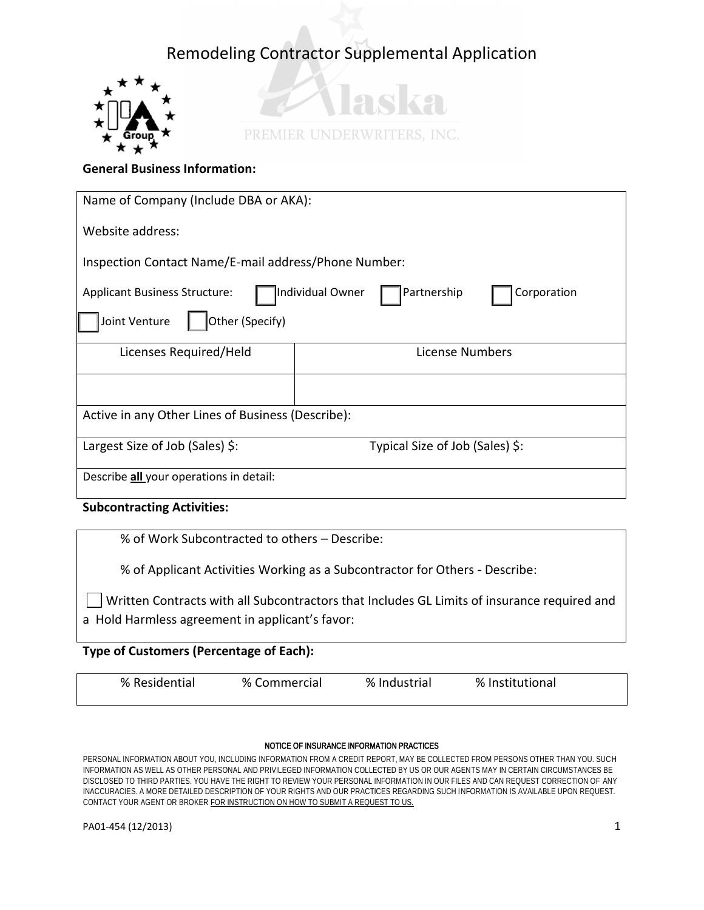



## **General Business Information:**

| Name of Company (Include DBA or AKA):                                                  |                                 |  |  |  |
|----------------------------------------------------------------------------------------|---------------------------------|--|--|--|
| Website address:                                                                       |                                 |  |  |  |
| Inspection Contact Name/E-mail address/Phone Number:                                   |                                 |  |  |  |
| Individual Owner<br>Partnership<br><b>Applicant Business Structure:</b><br>Corporation |                                 |  |  |  |
| Other (Specify)<br>Joint Venture                                                       |                                 |  |  |  |
| Licenses Required/Held                                                                 | License Numbers                 |  |  |  |
|                                                                                        |                                 |  |  |  |
| Active in any Other Lines of Business (Describe):                                      |                                 |  |  |  |
| Largest Size of Job (Sales) \$:                                                        | Typical Size of Job (Sales) \$: |  |  |  |
| Describe <b>all</b> your operations in detail:                                         |                                 |  |  |  |

## **Subcontracting Activities:**

% of Work Subcontracted to others – Describe:

% of Applicant Activities Working as a Subcontractor for Others - Describe:

Written Contracts with all Subcontractors that Includes GL Limits of insurance required and a Hold Harmless agreement in applicant's favor:

## **Type of Customers (Percentage of Each):**

| % Residential<br>% Industrial<br>% Commercial | % Institutional |
|-----------------------------------------------|-----------------|
|-----------------------------------------------|-----------------|

#### NOTICE OF INSURANCE INFORMATION PRACTICES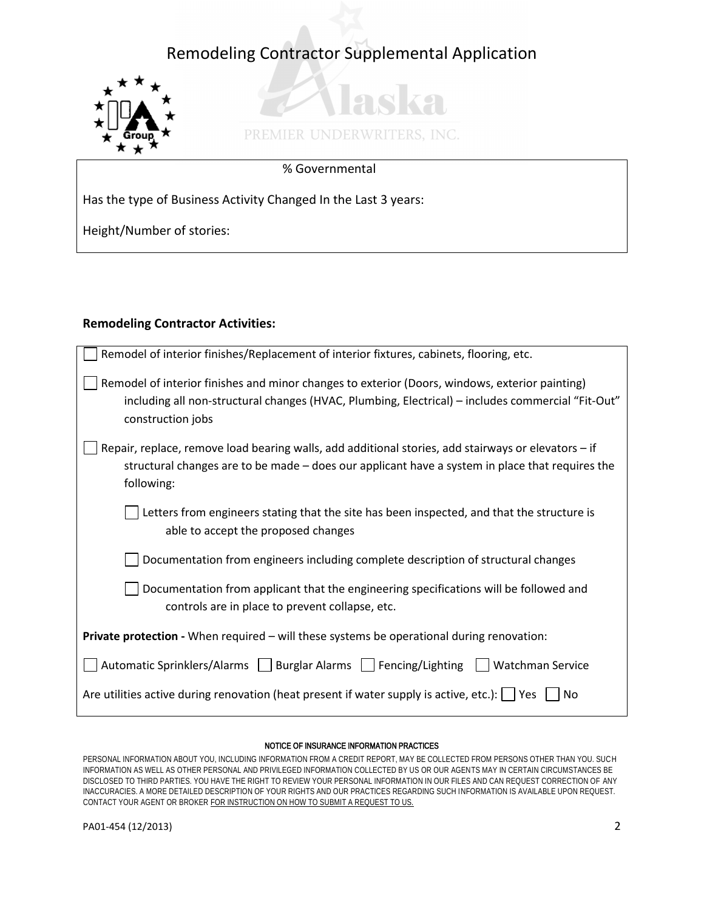

# as ka PREMIER UNDERWRITERS, INC.

## % Governmental

Has the type of Business Activity Changed In the Last 3 years:

Height/Number of stories:

## **Remodeling Contractor Activities:**

| Remodel of interior finishes/Replacement of interior fixtures, cabinets, flooring, etc.                                |  |  |
|------------------------------------------------------------------------------------------------------------------------|--|--|
| Remodel of interior finishes and minor changes to exterior (Doors, windows, exterior painting)                         |  |  |
| including all non-structural changes (HVAC, Plumbing, Electrical) - includes commercial "Fit-Out"<br>construction jobs |  |  |
| Repair, replace, remove load bearing walls, add additional stories, add stairways or elevators - if                    |  |  |
| structural changes are to be made - does our applicant have a system in place that requires the<br>following:          |  |  |
| Letters from engineers stating that the site has been inspected, and that the structure is                             |  |  |
| able to accept the proposed changes                                                                                    |  |  |
| Documentation from engineers including complete description of structural changes                                      |  |  |
| Documentation from applicant that the engineering specifications will be followed and                                  |  |  |
| controls are in place to prevent collapse, etc.                                                                        |  |  |
| Private protection - When required - will these systems be operational during renovation:                              |  |  |
| Automatic Sprinklers/Alarms     Burglar Alarms     Fencing/Lighting<br>Watchman Service                                |  |  |
| Are utilities active during renovation (heat present if water supply is active, etc.): $\vert \vert$ Yes<br>No         |  |  |

#### NOTICE OF INSURANCE INFORMATION PRACTICES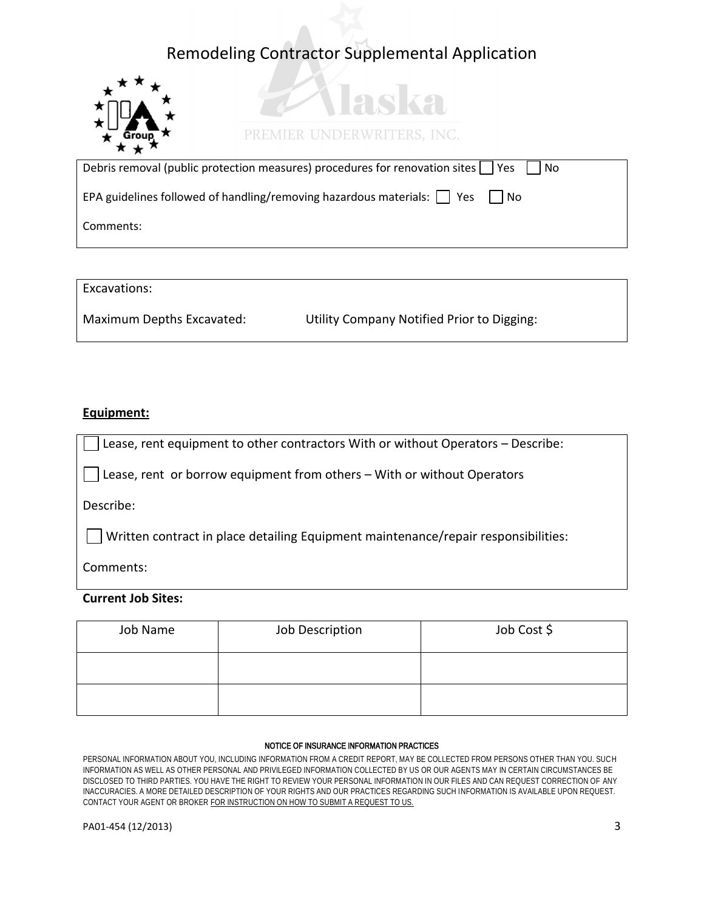

## PREMIER UNDERWRITERS, INC.

aska

| Debris removal (public protection measures) procedures for renovation sites   Yes<br>i No   |  |
|---------------------------------------------------------------------------------------------|--|
| EPA guidelines followed of handling/removing hazardous materials: $\vert \vert$ Yes<br>l No |  |
| Comments:                                                                                   |  |

Excavations:

Maximum Depths Excavated: Utility Company Notified Prior to Digging:

## **Equipment:**

Lease, rent equipment to other contractors With or without Operators – Describe:

Lease, rent or borrow equipment from others – With or without Operators

Describe:

 $\Box$  Written contract in place detailing Equipment maintenance/repair responsibilities:

Comments:

## **Current Job Sites:**

| Job Name | Job Description | Job Cost \$ |
|----------|-----------------|-------------|
|          |                 |             |
|          |                 |             |

#### NOTICE OF INSURANCE INFORMATION PRACTICES